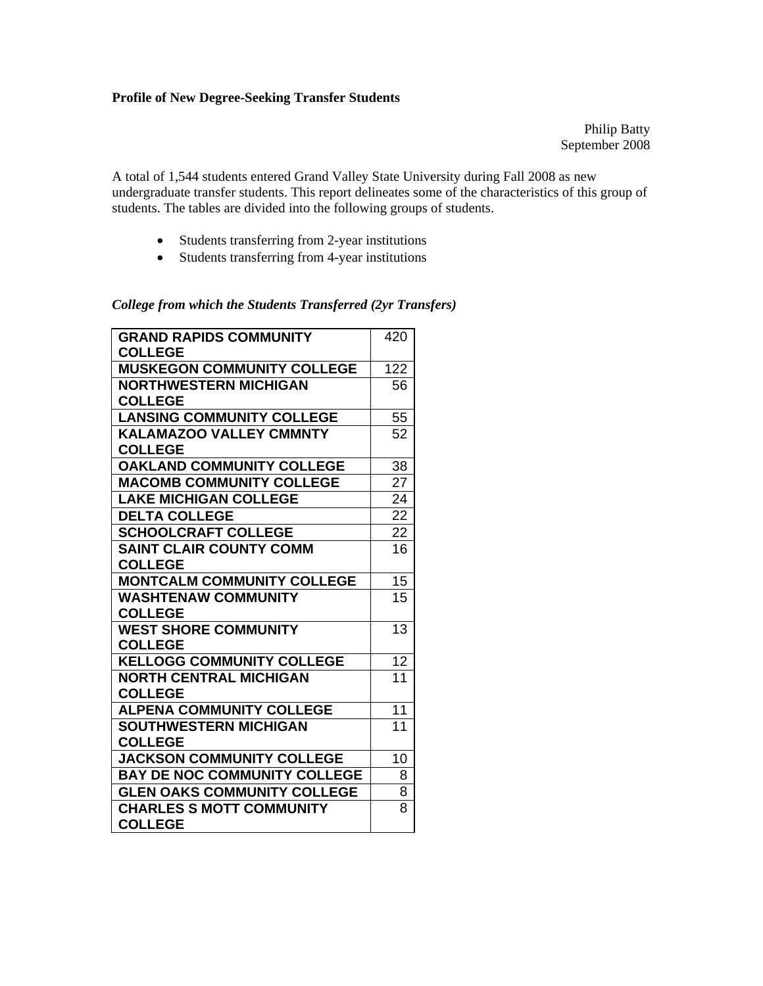Philip Batty September 2008

A total of 1,544 students entered Grand Valley State University during Fall 2008 as new undergraduate transfer students. This report delineates some of the characteristics of this group of students. The tables are divided into the following groups of students.

- Students transferring from 2-year institutions
- Students transferring from 4-year institutions

## *College from which the Students Transferred (2yr Transfers)*

| <b>GRAND RAPIDS COMMUNITY</b>       | 420 |
|-------------------------------------|-----|
| <b>COLLEGE</b>                      |     |
| <b>MUSKEGON COMMUNITY COLLEGE</b>   | 122 |
| <b>NORTHWESTERN MICHIGAN</b>        | 56  |
| <b>COLLEGE</b>                      |     |
| <b>LANSING COMMUNITY COLLEGE</b>    | 55  |
| <b>KALAMAZOO VALLEY CMMNTY</b>      | 52  |
| <b>COLLEGE</b>                      |     |
| <b>OAKLAND COMMUNITY COLLEGE</b>    | 38  |
| <b>MACOMB COMMUNITY COLLEGE</b>     | 27  |
| <b>LAKE MICHIGAN COLLEGE</b>        | 24  |
| <b>DELTA COLLEGE</b>                | 22  |
| <b>SCHOOLCRAFT COLLEGE</b>          | 22  |
| <b>SAINT CLAIR COUNTY COMM</b>      | 16  |
| <b>COLLEGE</b>                      |     |
| <b>MONTCALM COMMUNITY COLLEGE</b>   | 15  |
| <b>WASHTENAW COMMUNITY</b>          | 15  |
| <b>COLLEGE</b>                      |     |
| <b>WEST SHORE COMMUNITY</b>         | 13  |
| <b>COLLEGE</b>                      |     |
| <b>KELLOGG COMMUNITY COLLEGE</b>    | 12  |
| <b>NORTH CENTRAL MICHIGAN</b>       | 11  |
| <b>COLLEGE</b>                      |     |
| <b>ALPENA COMMUNITY COLLEGE</b>     | 11  |
| <b>SOUTHWESTERN MICHIGAN</b>        | 11  |
| <b>COLLEGE</b>                      |     |
| <b>JACKSON COMMUNITY COLLEGE</b>    | 10  |
| <b>BAY DE NOC COMMUNITY COLLEGE</b> | 8   |
| <b>GLEN OAKS COMMUNITY COLLEGE</b>  | 8   |
| <b>CHARLES S MOTT COMMUNITY</b>     | 8   |
| <b>COLLEGE</b>                      |     |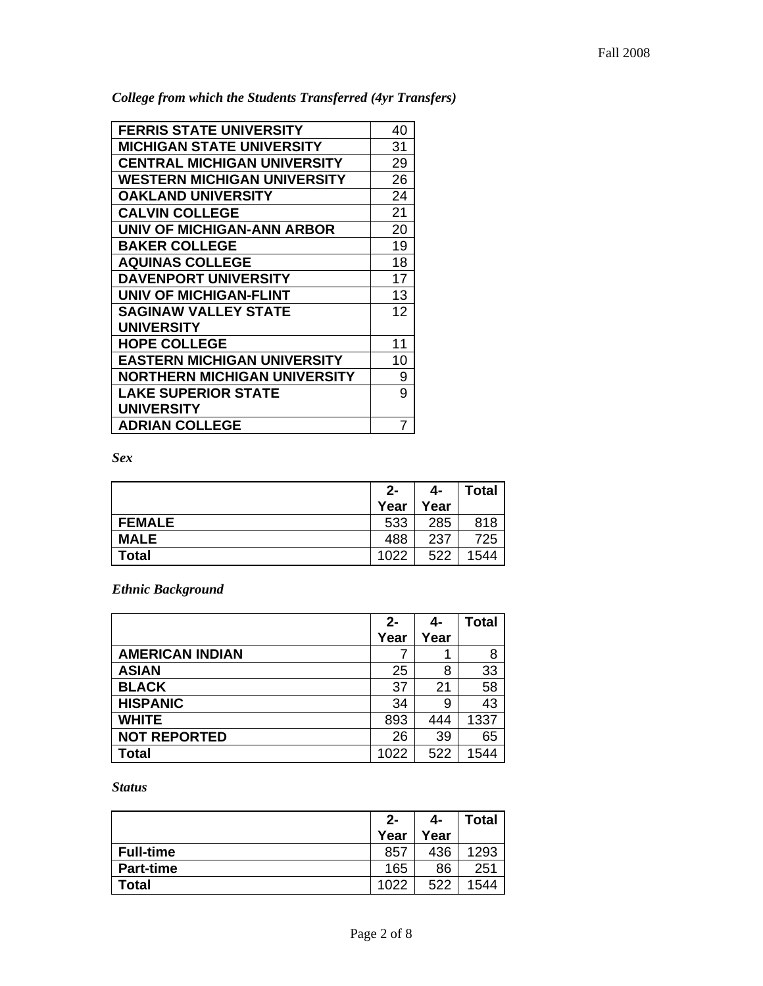*College from which the Students Transferred (4yr Transfers)* 

| <b>FERRIS STATE UNIVERSITY</b>      | 40 |
|-------------------------------------|----|
| <b>MICHIGAN STATE UNIVERSITY</b>    | 31 |
| <b>CENTRAL MICHIGAN UNIVERSITY</b>  | 29 |
| <b>WESTERN MICHIGAN UNIVERSITY</b>  | 26 |
| <b>OAKLAND UNIVERSITY</b>           | 24 |
| <b>CALVIN COLLEGE</b>               | 21 |
| UNIV OF MICHIGAN-ANN ARBOR          | 20 |
| <b>BAKER COLLEGE</b>                | 19 |
| <b>AQUINAS COLLEGE</b>              | 18 |
| <b>DAVENPORT UNIVERSITY</b>         | 17 |
| <b>UNIV OF MICHIGAN-FLINT</b>       | 13 |
| <b>SAGINAW VALLEY STATE</b>         | 12 |
| <b>UNIVERSITY</b>                   |    |
| <b>HOPE COLLEGE</b>                 | 11 |
| <b>EASTERN MICHIGAN UNIVERSITY</b>  | 10 |
| <b>NORTHERN MICHIGAN UNIVERSITY</b> | 9  |
| <b>LAKE SUPERIOR STATE</b>          | 9  |
| <b>UNIVERSITY</b>                   |    |
| <b>ADRIAN COLLEGE</b>               | 7  |

*Sex* 

|               | $2 -$ | 4-   | <b>Total</b> |
|---------------|-------|------|--------------|
|               | Year  | Year |              |
| <b>FEMALE</b> | 533   | 285  | 818          |
| <b>MALE</b>   | 488   | 237  | 725          |
| <b>Total</b>  | 1022  | 522  | 1544         |

*Ethnic Background* 

|                        | $2 -$ | 4-   | <b>Total</b> |
|------------------------|-------|------|--------------|
|                        | Year  | Year |              |
| <b>AMERICAN INDIAN</b> |       |      | 8            |
| <b>ASIAN</b>           | 25    | 8    | 33           |
| <b>BLACK</b>           | 37    | 21   | 58           |
| <b>HISPANIC</b>        | 34    | 9    | 43           |
| <b>WHITE</b>           | 893   | 444  | 1337         |
| <b>NOT REPORTED</b>    | 26    | 39   | 65           |
| <b>Total</b>           | 1022  | 522  | 1544         |

*Status* 

|                  | $2 -$ | 4-   | <b>Total</b> |
|------------------|-------|------|--------------|
|                  | Year  | Year |              |
| <b>Full-time</b> | 857   | 436  | 1293         |
| <b>Part-time</b> | 165   | 86   | 251          |
| <b>Total</b>     | 1022  | 522  | 1544         |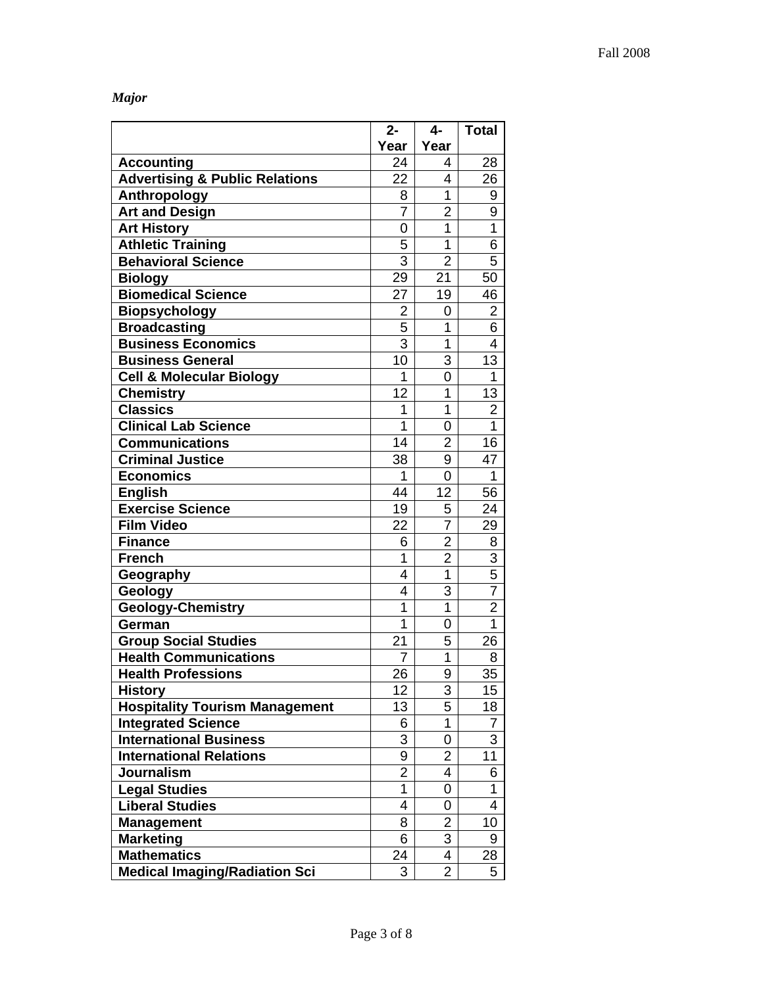*Major* 

|                                           | $2-$           | $4-$           | <b>Total</b>    |
|-------------------------------------------|----------------|----------------|-----------------|
|                                           | Year           | Year           |                 |
| <b>Accounting</b>                         | 24             | 4              | 28              |
| <b>Advertising &amp; Public Relations</b> | 22             | 4              | 26              |
| Anthropology                              | 8              | 1              | 9               |
| <b>Art and Design</b>                     | $\overline{7}$ | $\overline{2}$ | 9               |
| <b>Art History</b>                        | 0              | $\overline{1}$ | 1               |
| <b>Athletic Training</b>                  | 5              | 1              | 6               |
| <b>Behavioral Science</b>                 | 3              | $\overline{2}$ | 5               |
| <b>Biology</b>                            | 29             | 21             | 50              |
| <b>Biomedical Science</b>                 | 27             | 19             | 46              |
| <b>Biopsychology</b>                      | 2              | 0              | $\overline{2}$  |
| <b>Broadcasting</b>                       | 5              | 1              | 6               |
| <b>Business Economics</b>                 | $\overline{3}$ | 1              | 4               |
| <b>Business General</b>                   | 10             | 3              | 13              |
| <b>Cell &amp; Molecular Biology</b>       | 1              | 0              | 1               |
| <b>Chemistry</b>                          | 12             | 1              | 13              |
| <b>Classics</b>                           | 1              | 1              | 2               |
| <b>Clinical Lab Science</b>               | 1              | 0              | 1               |
| <b>Communications</b>                     | 14             | $\overline{2}$ | 16              |
| <b>Criminal Justice</b>                   | 38             | 9              | 47              |
| <b>Economics</b>                          | 1              | 0              | 1               |
| <b>English</b>                            | 44             | 12             | 56              |
| <b>Exercise Science</b>                   | 19             | 5              | 24              |
| <b>Film Video</b>                         | 22             | 7              | 29              |
| <b>Finance</b>                            | 6              | $\overline{2}$ | 8               |
| <b>French</b>                             | 1              | $\overline{2}$ | 3               |
| Geography                                 | 4              | 1              | 5               |
| Geology                                   | 4              | 3              | $\overline{7}$  |
| <b>Geology-Chemistry</b>                  | 1              | 1              | $\overline{2}$  |
| German                                    | 1              | 0              | 1               |
| <b>Group Social Studies</b>               | 21             | 5              | 26              |
| <b>Health Communications</b>              | 7              | 1              | 8               |
| <b>Health Professions</b>                 | 26             | 9              | $\overline{35}$ |
| <b>History</b>                            | 12             | 3              | 15              |
| <b>Hospitality Tourism Management</b>     | 13             | 5              | 18              |
| <b>Integrated Science</b>                 | 6              | 1              | 7               |
| <b>International Business</b>             | 3              | 0              | 3               |
| <b>International Relations</b>            | 9              | $\overline{2}$ | 11              |
| <b>Journalism</b>                         | $\overline{2}$ | 4              | 6               |
| <b>Legal Studies</b>                      | 1              | 0              | 1               |
| <b>Liberal Studies</b>                    | 4              | 0              | 4               |
| <b>Management</b>                         | 8              | 2              | 10              |
| <b>Marketing</b>                          | 6              | 3              | 9               |
| <b>Mathematics</b>                        | 24             | 4              | 28              |
| <b>Medical Imaging/Radiation Sci</b>      | 3              | 2              | 5               |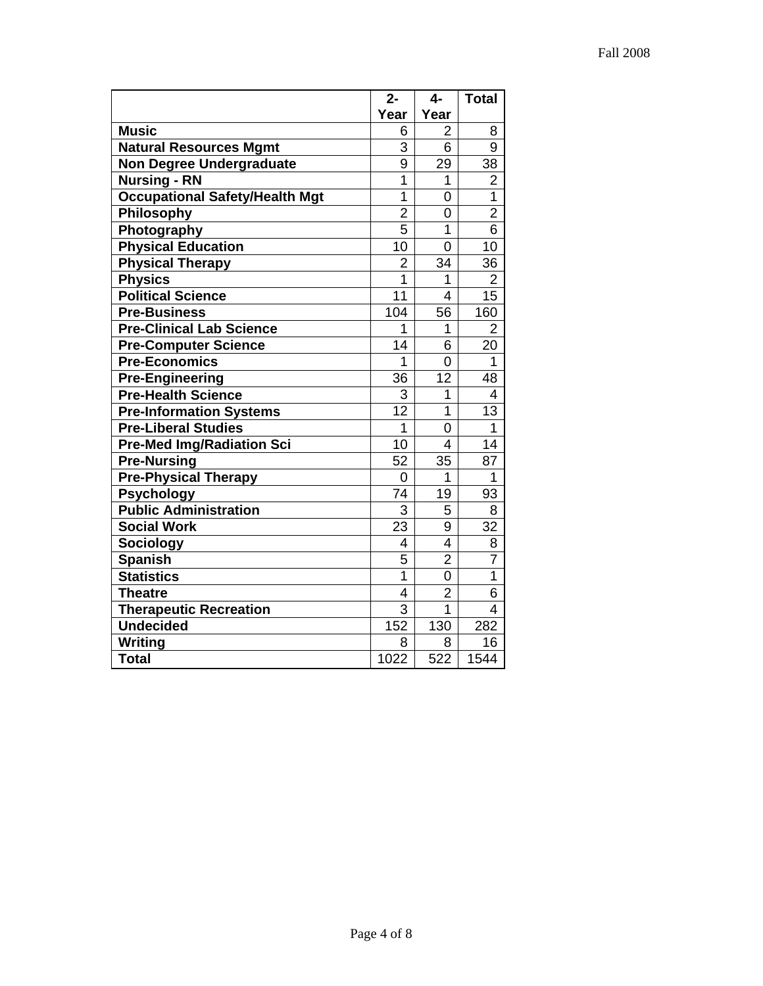|                                       | $2 -$          | $4-$           | <b>Total</b>   |
|---------------------------------------|----------------|----------------|----------------|
|                                       | Year           | Year           |                |
| <b>Music</b>                          | 6              | 2              | 8              |
| <b>Natural Resources Mgmt</b>         | 3              | 6              | 9              |
| <b>Non Degree Undergraduate</b>       | 9              | 29             | 38             |
| Nursing - RN                          | $\overline{1}$ | 1              | $\overline{2}$ |
| <b>Occupational Safety/Health Mgt</b> | 1              | $\overline{0}$ | $\overline{1}$ |
| Philosophy                            | $\overline{2}$ | $\overline{0}$ | $\overline{2}$ |
| Photography                           | $\overline{5}$ | $\overline{1}$ | 6              |
| <b>Physical Education</b>             | 10             | 0              | 10             |
| <b>Physical Therapy</b>               | $\overline{2}$ | 34             | 36             |
| <b>Physics</b>                        | 1              | 1              | 2              |
| <b>Political Science</b>              | 11             | 4              | 15             |
| <b>Pre-Business</b>                   | 104            | 56             | 160            |
| <b>Pre-Clinical Lab Science</b>       | 1              | 1              | 2              |
| <b>Pre-Computer Science</b>           | 14             | 6              | 20             |
| <b>Pre-Economics</b>                  | 1              | 0              | 1              |
| <b>Pre-Engineering</b>                | 36             | 12             | 48             |
| <b>Pre-Health Science</b>             | 3              | 1              | 4              |
| <b>Pre-Information Systems</b>        | 12             | 1              | 13             |
| <b>Pre-Liberal Studies</b>            | 1              | $\overline{0}$ | 1              |
| <b>Pre-Med Img/Radiation Sci</b>      | 10             | 4              | 14             |
| <b>Pre-Nursing</b>                    | 52             | 35             | 87             |
| <b>Pre-Physical Therapy</b>           | 0              | 1              | 1              |
| <b>Psychology</b>                     | 74             | 19             | 93             |
| <b>Public Administration</b>          | 3              | 5              | 8              |
| <b>Social Work</b>                    | 23             | 9              | 32             |
| <b>Sociology</b>                      | 4              | 4              | 8              |
| <b>Spanish</b>                        | 5              | $\overline{2}$ | 7              |
| <b>Statistics</b>                     | 1              | 0              | 1              |
| <b>Theatre</b>                        | 4              | $\overline{2}$ | 6              |
| <b>Therapeutic Recreation</b>         | $\overline{3}$ | $\overline{1}$ | $\overline{4}$ |
| <b>Undecided</b>                      | 152            | 130            | 282            |
| Writing                               | 8              | 8              | 16             |
| <b>Total</b>                          | 1022           | 522            | 1544           |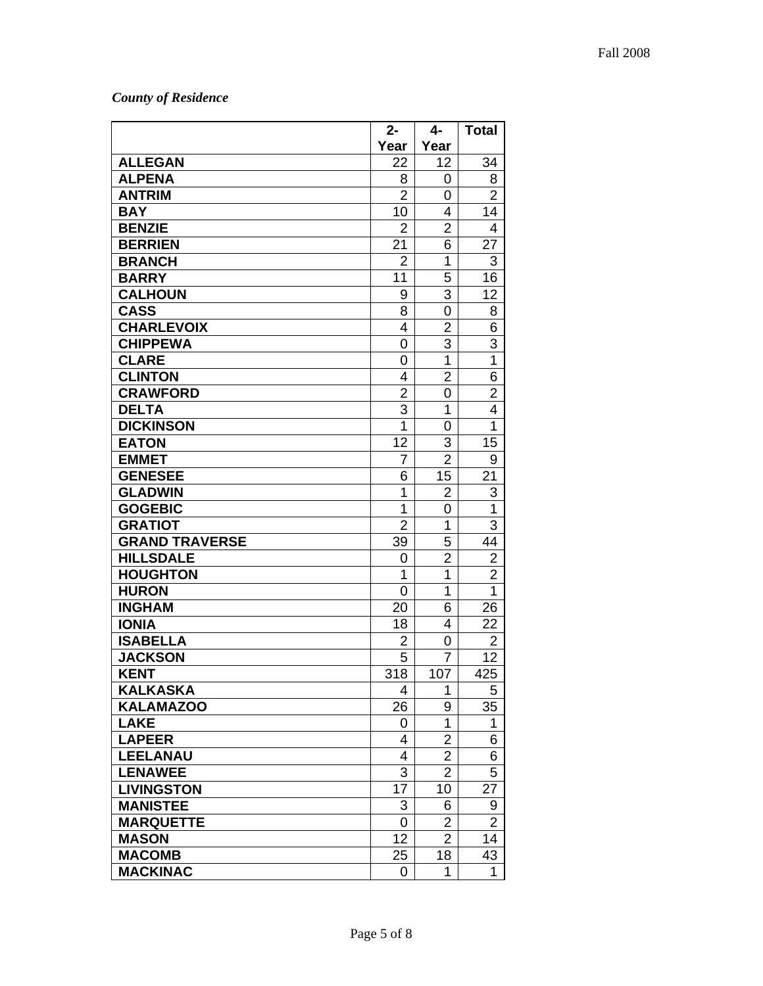## *County of Residence*

|                       | $2-$           | 4-             | <b>Total</b>   |
|-----------------------|----------------|----------------|----------------|
|                       | Year           | Year           |                |
| <b>ALLEGAN</b>        | 22             | 12             | 34             |
| <b>ALPENA</b>         | 8              | 0              | 8              |
| <b>ANTRIM</b>         | $\overline{2}$ | 0              | $\overline{2}$ |
| <b>BAY</b>            | 10             | 4              | 14             |
| <b>BENZIE</b>         | 2              | $\overline{2}$ | 4              |
| <b>BERRIEN</b>        | 21             | 6              | 27             |
| <b>BRANCH</b>         | 2              | 1              | 3              |
| <b>BARRY</b>          | 11             | 5              | 16             |
| <b>CALHOUN</b>        | 9              | 3              | 12             |
| <b>CASS</b>           | 8              | 0              | 8              |
| <b>CHARLEVOIX</b>     | 4              | $\overline{2}$ | 6              |
| <b>CHIPPEWA</b>       | 0              | 3              | 3              |
| <b>CLARE</b>          | 0              | $\mathbf{1}$   | 1              |
| <b>CLINTON</b>        | 4              | $\overline{2}$ | 6              |
| <b>CRAWFORD</b>       | $\overline{2}$ | 0              | $\overline{2}$ |
| <b>DELTA</b>          | 3              | 1              | 4              |
| <b>DICKINSON</b>      | 1              | 0              | 1              |
| <b>EATON</b>          | 12             | 3              | 15             |
| <b>EMMET</b>          | 7              | $\overline{2}$ | 9              |
| <b>GENESEE</b>        | 6              | 15             | 21             |
| <b>GLADWIN</b>        | 1              | $\overline{2}$ | 3              |
| <b>GOGEBIC</b>        | 1              | 0              | 1              |
| <b>GRATIOT</b>        | 2              | 1              | 3              |
| <b>GRAND TRAVERSE</b> | 39             | 5              | 44             |
| <b>HILLSDALE</b>      | 0              | $\overline{2}$ | 2              |
| <b>HOUGHTON</b>       | 1              | 1              | $\overline{2}$ |
| <b>HURON</b>          | 0              | 1              | 1              |
| <b>INGHAM</b>         | 20             | 6              | 26             |
| <b>IONIA</b>          | 18             | 4              | 22             |
| <b>ISABELLA</b>       | $\overline{2}$ | 0              | $\overline{2}$ |
| <b>JACKSON</b>        | 5              | 7              | 12             |
| <b>KENT</b>           | 318            | 107            | 425            |
| <b>KALKASKA</b>       | 4              | 1              | 5              |
| <b>KALAMAZOO</b>      | 26             | 9              | 35             |
| <b>LAKE</b>           | 0              | 1              | 1              |
| <b>LAPEER</b>         | 4              | $\overline{2}$ | 6              |
| <b>LEELANAU</b>       | 4              | $\overline{2}$ | 6              |
| <b>LENAWEE</b>        | 3              | $\overline{2}$ | 5              |
| <b>LIVINGSTON</b>     | 17             | 10             | 27             |
| <b>MANISTEE</b>       | 3              | 6              | 9              |
| <b>MARQUETTE</b>      | 0              | 2              | 2              |
| <b>MASON</b>          | 12             | $\overline{2}$ | 14             |
| <b>MACOMB</b>         | 25             | 18             | 43             |
| <b>MACKINAC</b>       | 0              | 1              | 1              |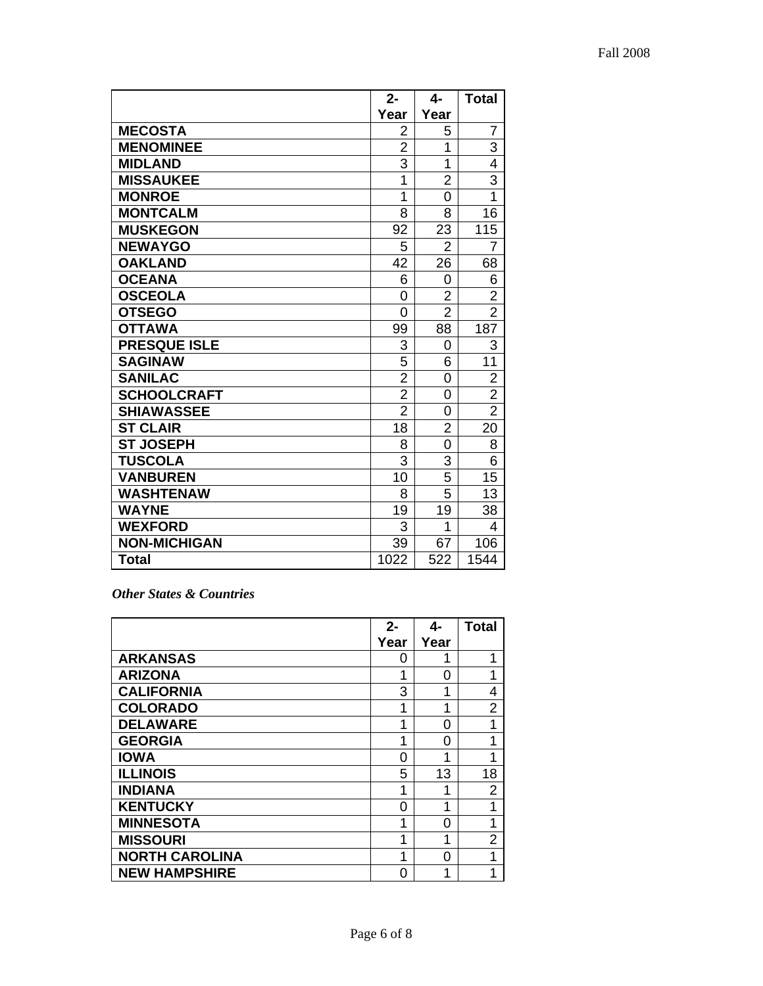|                     | $2 -$          | 4-             | <b>Total</b>   |
|---------------------|----------------|----------------|----------------|
|                     | Year           | Year           |                |
| <b>MECOSTA</b>      | 2              | 5              | 7              |
| <b>MENOMINEE</b>    | $\overline{2}$ | 1              | 3              |
| <b>MIDLAND</b>      | 3              | 1              | 4              |
| <b>MISSAUKEE</b>    | 1              | $\overline{2}$ | 3              |
| <b>MONROE</b>       | 1              | 0              | 1              |
| <b>MONTCALM</b>     | 8              | 8              | 16             |
| <b>MUSKEGON</b>     | 92             | 23             | 115            |
| <b>NEWAYGO</b>      | 5              | $\overline{2}$ | 7              |
| <b>OAKLAND</b>      | 42             | 26             | 68             |
| <b>OCEANA</b>       | 6              | 0              | 6              |
| <b>OSCEOLA</b>      | 0              | $\overline{2}$ | $\overline{2}$ |
| <b>OTSEGO</b>       | 0              | $\overline{2}$ | $\overline{2}$ |
| <b>OTTAWA</b>       | 99             | 88             | 187            |
| <b>PRESQUE ISLE</b> | 3              | 0              | 3              |
| <b>SAGINAW</b>      | 5              | 6              | 11             |
| <b>SANILAC</b>      | $\overline{2}$ | 0              | $\overline{2}$ |
| <b>SCHOOLCRAFT</b>  | $\overline{2}$ | 0              | $\overline{2}$ |
| <b>SHIAWASSEE</b>   | $\overline{2}$ | 0              | $\overline{2}$ |
| <b>ST CLAIR</b>     | 18             | $\overline{2}$ | 20             |
| <b>ST JOSEPH</b>    | 8              | 0              | 8              |
| <b>TUSCOLA</b>      | 3              | 3              | 6              |
| <b>VANBUREN</b>     | 10             | 5              | 15             |
| <b>WASHTENAW</b>    | 8              | 5              | 13             |
| <b>WAYNE</b>        | 19             | 19             | 38             |
| <b>WEXFORD</b>      | 3              | 1              | 4              |
| <b>NON-MICHIGAN</b> | 39             | 67             | 106            |
| <b>Total</b>        | 1022           | 522            | 1544           |

*Other States & Countries* 

|                       | $2 -$ | 4-   | <b>Total</b>   |
|-----------------------|-------|------|----------------|
|                       | Year  | Year |                |
| <b>ARKANSAS</b>       | 0     | 1    | 1              |
| <b>ARIZONA</b>        | 1     | 0    | 1              |
| <b>CALIFORNIA</b>     | 3     | 1    | 4              |
| <b>COLORADO</b>       | 1     | 1    | $\overline{2}$ |
| <b>DELAWARE</b>       | 1     | 0    | 1              |
| <b>GEORGIA</b>        | 1     | 0    | 1              |
| <b>IOWA</b>           | O     | 1    | 1              |
| <b>ILLINOIS</b>       | 5     | 13   | 18             |
| <b>INDIANA</b>        | 1     | 1    | 2              |
| <b>KENTUCKY</b>       | O     | 1    | 1              |
| <b>MINNESOTA</b>      | 1     | 0    | 1              |
| <b>MISSOURI</b>       | 1     | 1    | $\overline{2}$ |
| <b>NORTH CAROLINA</b> | 1     | 0    | 1              |
| <b>NEW HAMPSHIRE</b>  | ი     | 1    | 1              |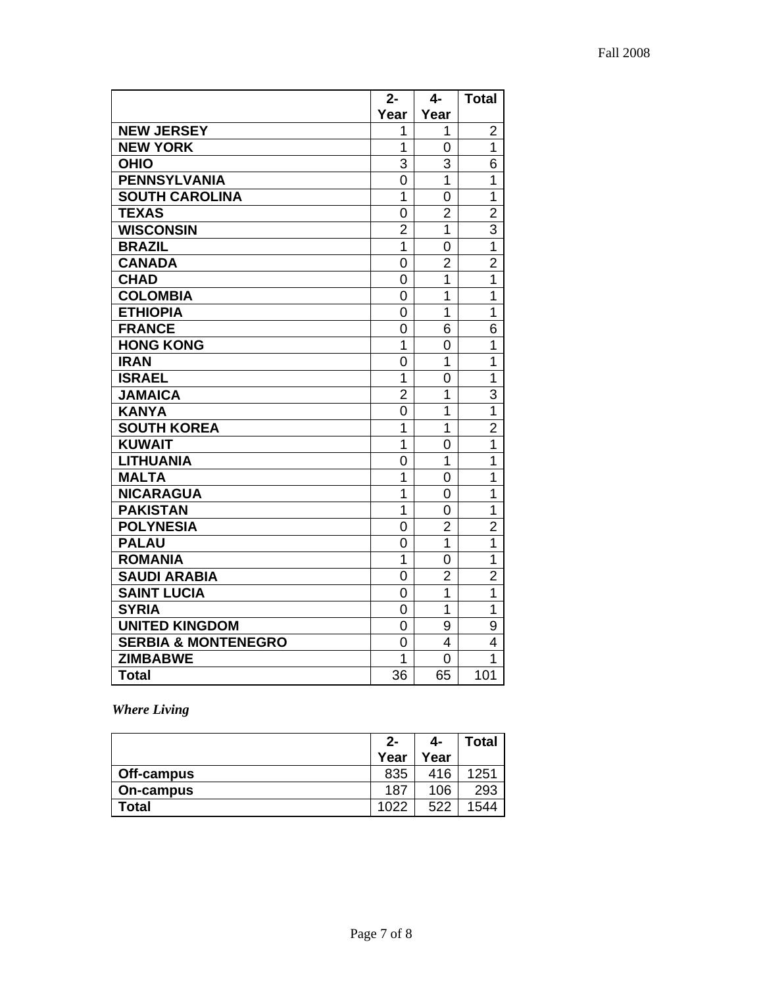|                                | $2 -$          | $4-$           | <b>Total</b>   |
|--------------------------------|----------------|----------------|----------------|
|                                | Year           | Year           |                |
| <b>NEW JERSEY</b>              | 1              | 1              | $\overline{2}$ |
| <b>NEW YORK</b>                | 1              | 0              | 1              |
| <b>OHIO</b>                    | 3              | 3              | 6              |
| <b>PENNSYLVANIA</b>            | $\overline{0}$ | 1              | $\overline{1}$ |
| <b>SOUTH CAROLINA</b>          | 1              | 0              | $\overline{1}$ |
| <b>TEXAS</b>                   | $\overline{0}$ | $\overline{2}$ | $\overline{2}$ |
| <b>WISCONSIN</b>               | $\overline{2}$ | $\overline{1}$ | 3              |
| <b>BRAZIL</b>                  | 1              | $\overline{0}$ | $\overline{1}$ |
| <b>CANADA</b>                  | 0              | $\overline{2}$ | $\overline{2}$ |
| <b>CHAD</b>                    | 0              | 1              | 1              |
| <b>COLOMBIA</b>                | $\overline{0}$ | $\overline{1}$ | $\overline{1}$ |
| <b>ETHIOPIA</b>                | 0              | 1              | $\overline{1}$ |
| <b>FRANCE</b>                  | 0              | 6              | 6              |
| <b>HONG KONG</b>               | 1              | 0              | 1              |
| <b>IRAN</b>                    | 0              | 1              | $\overline{1}$ |
| <b>ISRAEL</b>                  | 1              | 0              | $\overline{1}$ |
| <b>JAMAICA</b>                 | $\overline{2}$ | 1              | 3              |
| <b>KANYA</b>                   | 0              | 1              | $\overline{1}$ |
| <b>SOUTH KOREA</b>             | 1              | 1              | $\overline{2}$ |
| <b>KUWAIT</b>                  | 1              | 0              | 1              |
| <b>LITHUANIA</b>               | 0              | 1              | 1              |
| <b>MALTA</b>                   | 1              | 0              | $\overline{1}$ |
| <b>NICARAGUA</b>               | 1              | 0              | $\overline{1}$ |
| <b>PAKISTAN</b>                | 1              | 0              | $\overline{1}$ |
| <b>POLYNESIA</b>               | 0              | $\overline{2}$ | $\overline{2}$ |
| <b>PALAU</b>                   | 0              | 1              | $\overline{1}$ |
| <b>ROMANIA</b>                 | 1              | 0              | 1              |
| <b>SAUDI ARABIA</b>            | 0              | $\overline{2}$ | $\overline{c}$ |
| <b>SAINT LUCIA</b>             | 0              | 1              | 1              |
| <b>SYRIA</b>                   | 0              | 1              | 1              |
| <b>UNITED KINGDOM</b>          | 0              | 9              | 9              |
| <b>SERBIA &amp; MONTENEGRO</b> | 0              | 4              | 4              |
| <b>ZIMBABWE</b>                | 1              | 0              | 1              |
| <b>Total</b>                   | 36             | 65             | 101            |

*Where Living* 

|            | $2 -$ | 4-   | Total |
|------------|-------|------|-------|
|            | Year  | Year |       |
| Off-campus | 835   | 416  | 1251  |
| On-campus  | 187   | 106  | 293   |
| Total      | 1022  | 522  | 1544  |